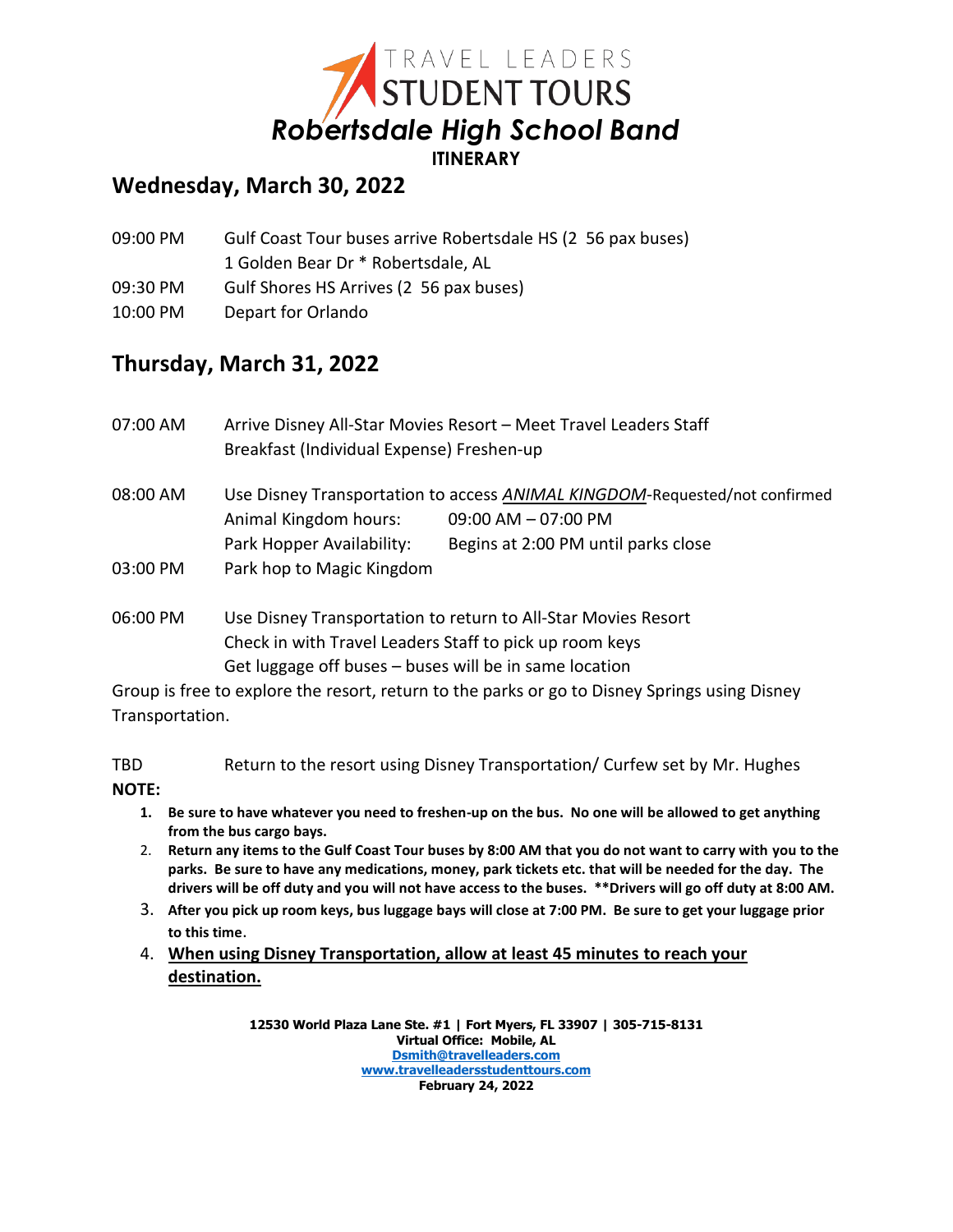

# **Wednesday, March 30, 2022**

- 09:00 PM Gulf Coast Tour buses arrive Robertsdale HS (2 56 pax buses) 1 Golden Bear Dr \* Robertsdale, AL 09:30 PM Gulf Shores HS Arrives (2 56 pax buses)
- 10:00 PM Depart for Orlando

## **Thursday, March 31, 2022**

| 07:00 AM | Arrive Disney All-Star Movies Resort - Meet Travel Leaders Staff<br>Breakfast (Individual Expense) Freshen-up                     |                                                                                              |  |
|----------|-----------------------------------------------------------------------------------------------------------------------------------|----------------------------------------------------------------------------------------------|--|
| 08:00 AM | Use Disney Transportation to access <b>ANIMAL KINGDOM-Requested/not confirmed</b><br>Animal Kingdom hours:<br>09:00 AM - 07:00 PM |                                                                                              |  |
|          |                                                                                                                                   |                                                                                              |  |
|          | Park Hopper Availability:                                                                                                         | Begins at 2:00 PM until parks close                                                          |  |
| 03:00 PM | Park hop to Magic Kingdom                                                                                                         |                                                                                              |  |
| 06:00 PM | Use Disney Transportation to return to All-Star Movies Resort                                                                     |                                                                                              |  |
|          | Check in with Travel Leaders Staff to pick up room keys                                                                           |                                                                                              |  |
|          | Get luggage off buses – buses will be in same location                                                                            |                                                                                              |  |
|          |                                                                                                                                   |                                                                                              |  |
|          |                                                                                                                                   | Croup is frog to qualqra the resert return to the parks as so to Dispou Carings using Dispou |  |

Group is free to explore the resort, return to the parks or go to Disney Springs using Disney Transportation.

TBD Return to the resort using Disney Transportation/ Curfew set by Mr. Hughes

### **NOTE:**

- **1. Be sure to have whatever you need to freshen-up on the bus. No one will be allowed to get anything from the bus cargo bays.**
- 2. **Return any items to the Gulf Coast Tour buses by 8:00 AM that you do not want to carry with you to the parks. Be sure to have any medications, money, park tickets etc. that will be needed for the day. The drivers will be off duty and you will not have access to the buses. \*\*Drivers will go off duty at 8:00 AM.**
- 3. **After you pick up room keys, bus luggage bays will close at 7:00 PM. Be sure to get your luggage prior to this time**.
- 4. **When using Disney Transportation, allow at least 45 minutes to reach your destination.**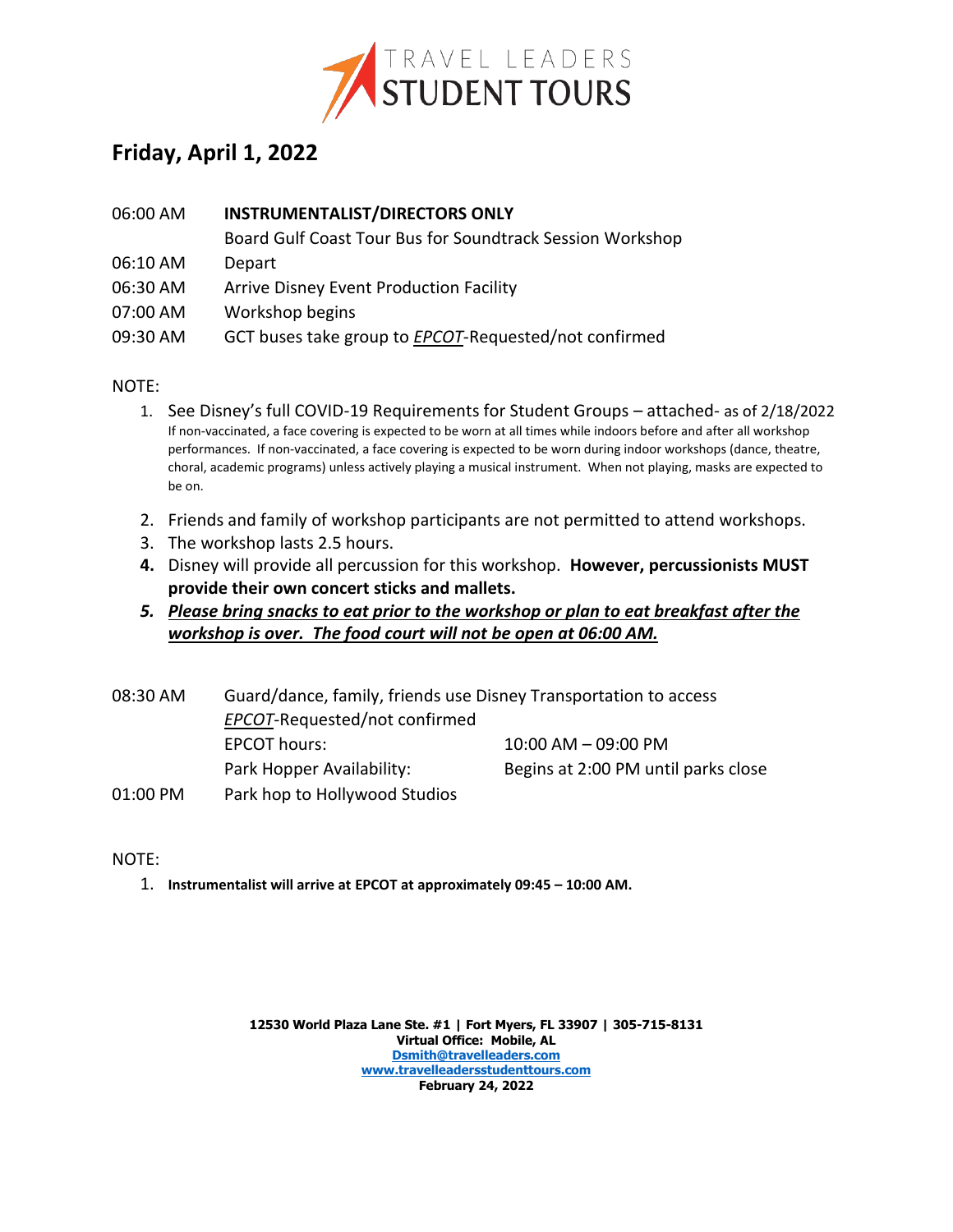

# **Friday, April 1, 2022**

| 06:00 AM | <b>INSTRUMENTALIST/DIRECTORS ONLY</b>                     |  |  |
|----------|-----------------------------------------------------------|--|--|
|          | Board Gulf Coast Tour Bus for Soundtrack Session Workshop |  |  |
| 06:10 AM | Depart                                                    |  |  |
| 06:30 AM | Arrive Disney Event Production Facility                   |  |  |

07:00 AM Workshop begins

09:30 AM GCT buses take group to *EPCOT*-Requested/not confirmed

#### NOTE:

- 1. See Disney's full COVID-19 Requirements for Student Groups attached- as of 2/18/2022 If non-vaccinated, a face covering is expected to be worn at all times while indoors before and after all workshop performances. If non-vaccinated, a face covering is expected to be worn during indoor workshops (dance, theatre, choral, academic programs) unless actively playing a musical instrument. When not playing, masks are expected to be on.
- 2. Friends and family of workshop participants are not permitted to attend workshops.
- 3. The workshop lasts 2.5 hours.
- **4.** Disney will provide all percussion for this workshop. **However, percussionists MUST provide their own concert sticks and mallets.**
- *5. Please bring snacks to eat prior to the workshop or plan to eat breakfast after the workshop is over. The food court will not be open at 06:00 AM.*

| 08:30 AM | Guard/dance, family, friends use Disney Transportation to access |                                     |  |
|----------|------------------------------------------------------------------|-------------------------------------|--|
|          | EPCOT-Requested/not confirmed                                    |                                     |  |
|          | <b>EPCOT hours:</b>                                              | $10:00$ AM $-$ 09:00 PM             |  |
|          | Park Hopper Availability:                                        | Begins at 2:00 PM until parks close |  |
| 01:00 PM | Park hop to Hollywood Studios                                    |                                     |  |

NOTE:

1. **Instrumentalist will arrive at EPCOT at approximately 09:45 – 10:00 AM.**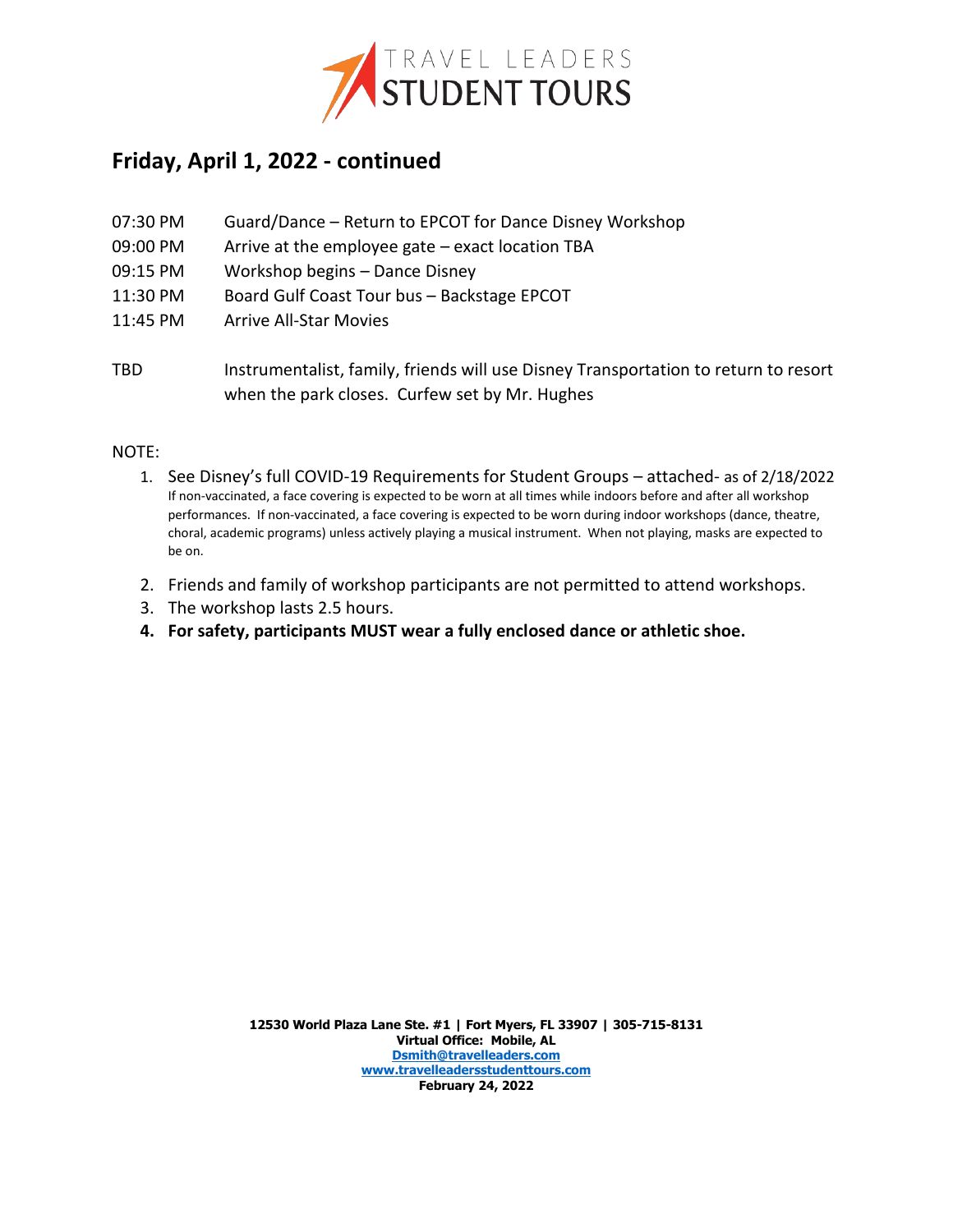

## **Friday, April 1, 2022 - continued**

| 07:30 PM | Guard/Dance – Return to EPCOT for Dance Disney Workshop                                                                               |  |  |
|----------|---------------------------------------------------------------------------------------------------------------------------------------|--|--|
| 09:00 PM | Arrive at the employee gate $-$ exact location TBA                                                                                    |  |  |
| 09:15 PM | Workshop begins - Dance Disney                                                                                                        |  |  |
| 11:30 PM | Board Gulf Coast Tour bus - Backstage EPCOT                                                                                           |  |  |
| 11:45 PM | <b>Arrive All-Star Movies</b>                                                                                                         |  |  |
| TBD      | Instrumentalist, family, friends will use Disney Transportation to return to resort<br>when the park closes. Curfew set by Mr. Hughes |  |  |

#### NOTE:

- 1. See Disney's full COVID-19 Requirements for Student Groups attached- as of 2/18/2022 If non-vaccinated, a face covering is expected to be worn at all times while indoors before and after all workshop performances. If non-vaccinated, a face covering is expected to be worn during indoor workshops (dance, theatre, choral, academic programs) unless actively playing a musical instrument. When not playing, masks are expected to be on.
- 2. Friends and family of workshop participants are not permitted to attend workshops.
- 3. The workshop lasts 2.5 hours.
- **4. For safety, participants MUST wear a fully enclosed dance or athletic shoe.**